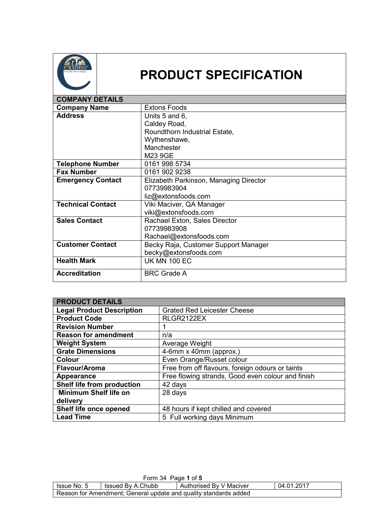

## **PRODUCT SPECIFICATION**

| <b>COMPANY DETAILS</b>   |                                        |
|--------------------------|----------------------------------------|
| <b>Company Name</b>      | <b>Extons Foods</b>                    |
| <b>Address</b>           | Units 5 and 6,                         |
|                          | Caldey Road,                           |
|                          | Roundthorn Industrial Estate,          |
|                          | Wythenshawe,                           |
|                          | Manchester                             |
|                          | M23 9GE                                |
| <b>Telephone Number</b>  | 0161 998 5734                          |
| <b>Fax Number</b>        | 0161 902 9238                          |
| <b>Emergency Contact</b> | Elizabeth Parkinson, Managing Director |
|                          | 07739983904                            |
|                          | liz@extonsfoods.com                    |
| <b>Technical Contact</b> | Viki Maciver, QA Manager               |
|                          | viki@extonsfoods.com                   |
| <b>Sales Contact</b>     | Rachael Exton, Sales Director          |
|                          | 07739983908                            |
|                          | Rachael@extonsfoods.com                |
| <b>Customer Contact</b>  | Becky Raja, Customer Support Manager   |
|                          | becky@extonsfoods.com                  |
| <b>Health Mark</b>       | <b>UK MN 100 EC</b>                    |
| <b>Accreditation</b>     | <b>BRC Grade A</b>                     |

| <b>PRODUCT DETAILS</b>           |                                                   |  |
|----------------------------------|---------------------------------------------------|--|
| <b>Legal Product Description</b> | <b>Grated Red Leicester Cheese</b>                |  |
| <b>Product Code</b>              | RLGR2122EX                                        |  |
| <b>Revision Number</b>           |                                                   |  |
| <b>Reason for amendment</b>      | n/a                                               |  |
| <b>Weight System</b>             | Average Weight                                    |  |
| <b>Grate Dimensions</b>          | 4-6mm x 40mm (approx.)                            |  |
| <b>Colour</b>                    | Even Orange/Russet colour                         |  |
| Flavour/Aroma                    | Free from off flavours, foreign odours or taints  |  |
| Appearance                       | Free flowing strands, Good even colour and finish |  |
| Shelf life from production       | 42 days                                           |  |
| <b>Minimum Shelf life on</b>     | 28 days                                           |  |
| delivery                         |                                                   |  |
| Shelf life once opened           | 48 hours if kept chilled and covered              |  |
| <b>Lead Time</b>                 | 5 Full working days Minimum                       |  |

| Form 34 Page 1 of 5                                                       |  |  |  |
|---------------------------------------------------------------------------|--|--|--|
| 04.01.2017<br>Authorised By V Maciver<br>Issued By A.Chubb<br>Issue No. 5 |  |  |  |
| Reason for Amendment; General update and quality standards added          |  |  |  |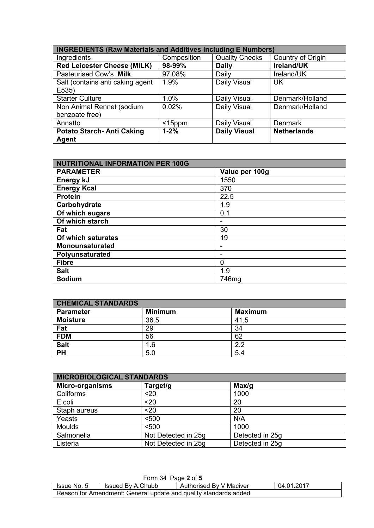| <b>INGREDIENTS (Raw Materials and Additives Including E Numbers)</b> |             |                       |                    |
|----------------------------------------------------------------------|-------------|-----------------------|--------------------|
| Ingredients                                                          | Composition | <b>Quality Checks</b> | Country of Origin  |
| <b>Red Leicester Cheese (MILK)</b>                                   | 98-99%      | <b>Daily</b>          | Ireland/UK         |
| Pasteurised Cow's Milk                                               | 97.08%      | Daily                 | Ireland/UK         |
| Salt (contains anti caking agent                                     | 1.9%        | Daily Visual          | UK.                |
| E535)                                                                |             |                       |                    |
| <b>Starter Culture</b>                                               | 1.0%        | Daily Visual          | Denmark/Holland    |
| Non Animal Rennet (sodium                                            | 0.02%       | Daily Visual          | Denmark/Holland    |
| benzoate free)                                                       |             |                       |                    |
| Annatto                                                              | $<$ 15ppm   | Daily Visual          | <b>Denmark</b>     |
| <b>Potato Starch- Anti Caking</b>                                    | $1 - 2%$    | <b>Daily Visual</b>   | <b>Netherlands</b> |
| Agent                                                                |             |                       |                    |

| <b>NUTRITIONAL INFORMATION PER 100G</b> |                |  |
|-----------------------------------------|----------------|--|
| <b>PARAMETER</b>                        | Value per 100g |  |
| Energy kJ                               | 1550           |  |
| <b>Energy Kcal</b>                      | 370            |  |
| <b>Protein</b>                          | 22.5           |  |
| Carbohydrate                            | 1.9            |  |
| Of which sugars                         | 0.1            |  |
| Of which starch                         |                |  |
| Fat                                     | 30             |  |
| Of which saturates                      | 19             |  |
| <b>Monounsaturated</b>                  |                |  |
| Polyunsaturated                         |                |  |
| <b>Fibre</b>                            | 0              |  |
| <b>Salt</b>                             | 1.9            |  |
| Sodium                                  | 746mg          |  |

| <b>CHEMICAL STANDARDS</b> |                |                |
|---------------------------|----------------|----------------|
| <b>Parameter</b>          | <b>Minimum</b> | <b>Maximum</b> |
| <b>Moisture</b>           | 36.5           | 41.5           |
| Fat                       | 29             | 34             |
| <b>FDM</b>                | 56             | 62             |
| <b>Salt</b>               | 1.6            | 2.2            |
| <b>PH</b>                 | 5.0            | 5.4            |

| <b>MICROBIOLOGICAL STANDARDS</b> |                     |                 |  |
|----------------------------------|---------------------|-----------------|--|
| <b>Micro-organisms</b>           | Target/g            | Max/q           |  |
| Coliforms                        | $20$                | 1000            |  |
| E.coli                           | $20$                | 20              |  |
| Staph aureus                     | $20$                | 20              |  |
| Yeasts                           | < 500               | N/A             |  |
| <b>Moulds</b>                    | < 500               | 1000            |  |
| Salmonella                       | Not Detected in 25g | Detected in 25g |  |
| Listeria                         | Not Detected in 25g | Detected in 25g |  |

| Form 34 Page 2 of 5                                              |                   |                         |            |
|------------------------------------------------------------------|-------------------|-------------------------|------------|
| Issue No. 5                                                      | Issued By A.Chubb | Authorised By V Maciver | 04.01.2017 |
| Reason for Amendment; General update and quality standards added |                   |                         |            |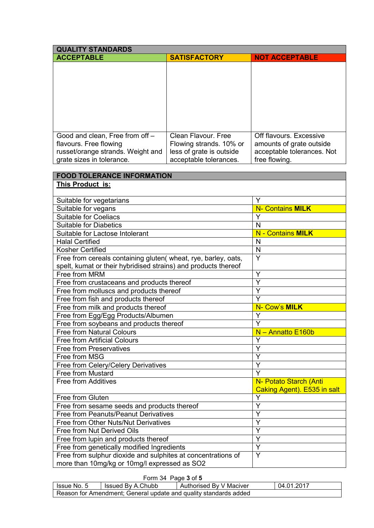| <b>QUALITY STANDARDS</b>                                       |                          |                             |
|----------------------------------------------------------------|--------------------------|-----------------------------|
| <b>ACCEPTABLE</b>                                              | <b>SATISFACTORY</b>      | <b>NOT ACCEPTABLE</b>       |
|                                                                |                          |                             |
|                                                                |                          |                             |
|                                                                |                          |                             |
|                                                                |                          |                             |
|                                                                |                          |                             |
|                                                                |                          |                             |
|                                                                |                          |                             |
|                                                                |                          |                             |
| Good and clean, Free from off -                                | Clean Flavour, Free      | Off flavours. Excessive     |
| flavours. Free flowing                                         | Flowing strands. 10% or  | amounts of grate outside    |
| russet/orange strands. Weight and                              | less of grate is outside | acceptable tolerances. Not  |
| grate sizes in tolerance.                                      | acceptable tolerances.   | free flowing.               |
|                                                                |                          |                             |
| <b>FOOD TOLERANCE INFORMATION</b>                              |                          |                             |
| This Product is:                                               |                          |                             |
|                                                                |                          |                             |
| Suitable for vegetarians                                       |                          | Y                           |
| Suitable for vegans                                            |                          | <b>N- Contains MILK</b>     |
| <b>Suitable for Coeliacs</b>                                   |                          | Y                           |
| <b>Suitable for Diabetics</b>                                  |                          | N                           |
| Suitable for Lactose Intolerant                                |                          | N - Contains MILK           |
| <b>Halal Certified</b>                                         |                          | N                           |
| Kosher Certified                                               |                          | $\mathsf{N}$                |
| Free from cereals containing gluten(wheat, rye, barley, oats,  |                          | Y                           |
| spelt, kumat or their hybridised strains) and products thereof |                          |                             |
| Free from MRM                                                  | Y                        |                             |
| Free from crustaceans and products thereof                     |                          | Ÿ                           |
| Free from molluscs and products thereof                        | Ý                        |                             |
| Free from fish and products thereof                            |                          | Y                           |
| Free from milk and products thereof                            | N- Cow's MILK            |                             |
| Free from Egg/Egg Products/Albumen                             |                          | Y                           |
| Free from soybeans and products thereof                        |                          | Y                           |
| <b>Free from Natural Colours</b>                               |                          | N - Annatto E160b           |
| <b>Free from Artificial Colours</b>                            |                          | Y                           |
| <b>Free from Preservatives</b>                                 |                          | Y                           |
| Free from MSG                                                  |                          | Y                           |
| Free from Celery/Celery Derivatives                            |                          | $\overline{Y}$              |
| Free from Mustard                                              |                          | Y                           |
| Free from Additives                                            |                          | N- Potato Starch (Anti      |
|                                                                |                          | Caking Agent). E535 in salt |
| Free from Gluten                                               | Υ                        |                             |
| Free from sesame seeds and products thereof                    | Y                        |                             |
| <b>Free from Peanuts/Peanut Derivatives</b>                    |                          | $\overline{\mathsf{Y}}$     |
| Free from Other Nuts/Nut Derivatives                           | Y                        |                             |
| Free from Nut Derived Oils                                     | Y                        |                             |
| Free from lupin and products thereof                           | Y                        |                             |
| Free from genetically modified Ingredients                     | Y                        |                             |
| Free from sulphur dioxide and sulphites at concentrations of   |                          | Y                           |
| more than 10mg/kg or 10mg/l expressed as SO2                   |                          |                             |

## Form 34 Page **3** of **5**

| Issue No. 5                                                      | Issued By A.Chubb | Authorised By V Maciver |  | 04.01.2017 |
|------------------------------------------------------------------|-------------------|-------------------------|--|------------|
| Reason for Amendment; General update and quality standards added |                   |                         |  |            |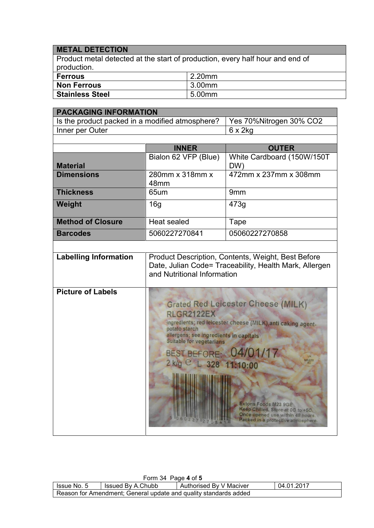## **METAL DETECTION**

Product metal detected at the start of production, every half hour and end of production.

| <b>Ferrous</b>         | 2.20mm |
|------------------------|--------|
| <b>Non Ferrous</b>     | 3.00mm |
| <b>Stainless Steel</b> | 5.00mm |

| <b>PACKAGING INFORMATION</b>                    |                                                                                                                                                                                                                                                                                                                                                                                                                                 |                                   |  |
|-------------------------------------------------|---------------------------------------------------------------------------------------------------------------------------------------------------------------------------------------------------------------------------------------------------------------------------------------------------------------------------------------------------------------------------------------------------------------------------------|-----------------------------------|--|
| Is the product packed in a modified atmosphere? |                                                                                                                                                                                                                                                                                                                                                                                                                                 | Yes 70%Nitrogen 30% CO2           |  |
| Inner per Outer                                 |                                                                                                                                                                                                                                                                                                                                                                                                                                 | $6 \times 2$ kg                   |  |
|                                                 |                                                                                                                                                                                                                                                                                                                                                                                                                                 |                                   |  |
|                                                 | <b>INNER</b>                                                                                                                                                                                                                                                                                                                                                                                                                    | <b>OUTER</b>                      |  |
| <b>Material</b>                                 | Bialon 62 VFP (Blue)                                                                                                                                                                                                                                                                                                                                                                                                            | White Cardboard (150W/150T<br>DW) |  |
| <b>Dimensions</b>                               | 280mm x 318mm x<br>48mm                                                                                                                                                                                                                                                                                                                                                                                                         | 472mm x 237mm x 308mm             |  |
| <b>Thickness</b>                                | 65um                                                                                                                                                                                                                                                                                                                                                                                                                            | 9mm                               |  |
| Weight                                          | 16g                                                                                                                                                                                                                                                                                                                                                                                                                             | 473g                              |  |
| <b>Method of Closure</b>                        | <b>Heat sealed</b>                                                                                                                                                                                                                                                                                                                                                                                                              | Tape                              |  |
| <b>Barcodes</b>                                 | 5060227270841                                                                                                                                                                                                                                                                                                                                                                                                                   | 05060227270858                    |  |
|                                                 |                                                                                                                                                                                                                                                                                                                                                                                                                                 |                                   |  |
| <b>Labelling Information</b>                    | Product Description, Contents, Weight, Best Before<br>Date, Julian Code= Traceability, Health Mark, Allergen<br>and Nutritional Information                                                                                                                                                                                                                                                                                     |                                   |  |
| <b>Picture of Labels</b>                        | <b>Grated Red Leicester Cheese (MILK)</b><br><b>RLGR2122EX</b><br>ingredients; red leicester cheese (MILK), anti caking agent-<br>potato starch<br>allergens; see ingredients in capitals<br>Suitable for vegetarians<br>BEST BEFORE: 04/01/17<br>MN100<br>2 k/g C L 328 11:10:00<br><b>Extons Foods M23 9GE</b><br>Keep Chilled. Store at 0C to +5C.<br>Once opened use within 48 hours.<br>Packed in a protective atmosphere. |                                   |  |

| Form 34 Page 4 of 5                                              |                   |                         |            |  |  |  |
|------------------------------------------------------------------|-------------------|-------------------------|------------|--|--|--|
| Issue No. 5                                                      | Issued By A.Chubb | Authorised By V Maciver | 04.01.2017 |  |  |  |
| Reason for Amendment; General update and quality standards added |                   |                         |            |  |  |  |